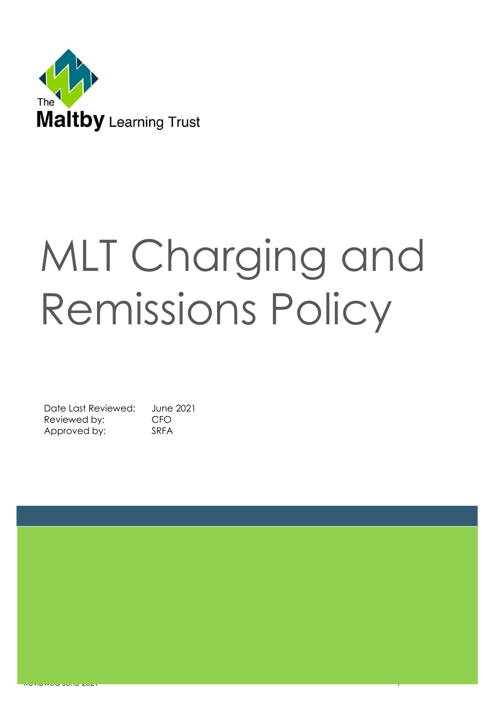

# MLT Charging and Remissions Policy

Date Last Reviewed: June 2021 Reviewed by: CFO Approved by: SRFA

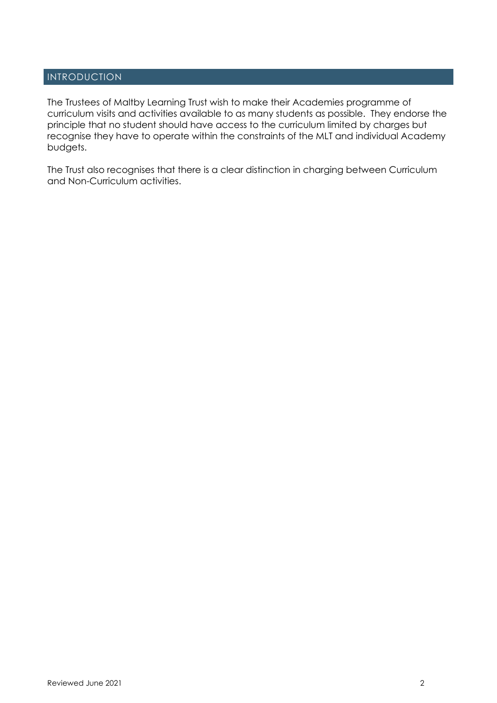# INTRODUCTION

The Trustees of Maltby Learning Trust wish to make their Academies programme of curriculum visits and activities available to as many students as possible. They endorse the principle that no student should have access to the curriculum limited by charges but recognise they have to operate within the constraints of the MLT and individual Academy budgets.

The Trust also recognises that there is a clear distinction in charging between Curriculum and Non-Curriculum activities.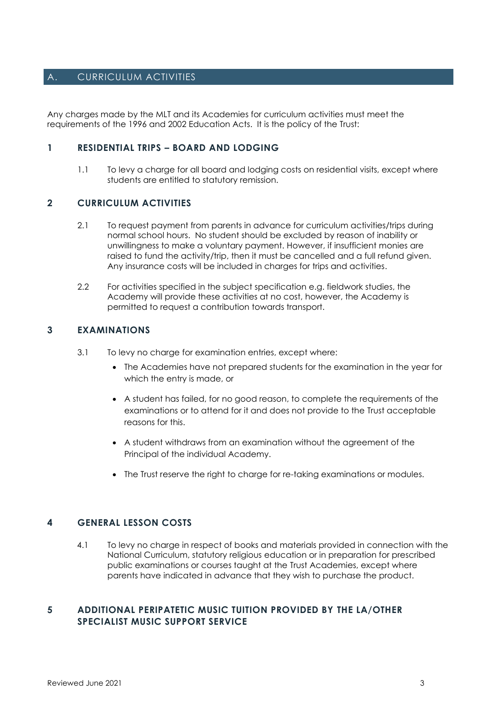## A. CURRICULUM ACTIVITIES

Any charges made by the MLT and its Academies for curriculum activities must meet the requirements of the 1996 and 2002 Education Acts. It is the policy of the Trust:

#### **1 RESIDENTIAL TRIPS – BOARD AND LODGING**

1.1 To levy a charge for all board and lodging costs on residential visits, except where students are entitled to statutory remission.

#### **2 CURRICULUM ACTIVITIES**

- 2.1 To request payment from parents in advance for curriculum activities/trips during normal school hours. No student should be excluded by reason of inability or unwillingness to make a voluntary payment. However, if insufficient monies are raised to fund the activity/trip, then it must be cancelled and a full refund given. Any insurance costs will be included in charges for trips and activities.
- 2.2 For activities specified in the subject specification e.g. fieldwork studies, the Academy will provide these activities at no cost, however, the Academy is permitted to request a contribution towards transport.

#### **3 EXAMINATIONS**

- 3.1 To levy no charge for examination entries, except where:
	- The Academies have not prepared students for the examination in the year for which the entry is made, or
	- A student has failed, for no good reason, to complete the requirements of the examinations or to attend for it and does not provide to the Trust acceptable reasons for this.
	- A student withdraws from an examination without the agreement of the Principal of the individual Academy.
	- The Trust reserve the right to charge for re-taking examinations or modules.

#### **4 GENERAL LESSON COSTS**

4.1 To levy no charge in respect of books and materials provided in connection with the National Curriculum, statutory religious education or in preparation for prescribed public examinations or courses taught at the Trust Academies, except where parents have indicated in advance that they wish to purchase the product.

#### **5 ADDITIONAL PERIPATETIC MUSIC TUITION PROVIDED BY THE LA/OTHER SPECIALIST MUSIC SUPPORT SERVICE**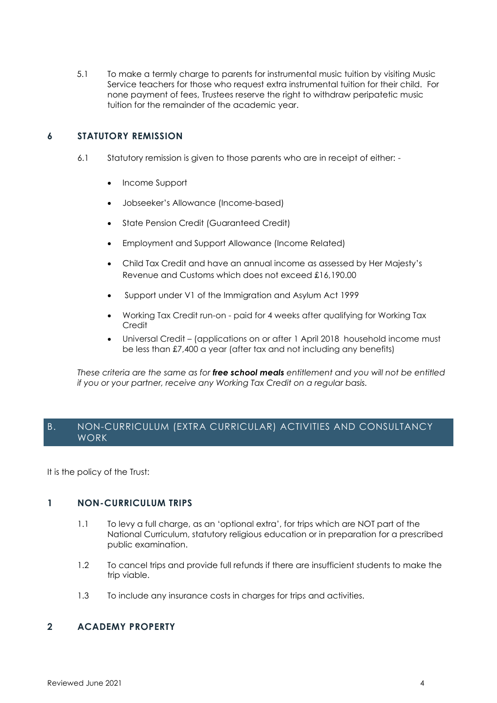5.1 To make a termly charge to parents for instrumental music tuition by visiting Music Service teachers for those who request extra instrumental tuition for their child. For none payment of fees, Trustees reserve the right to withdraw peripatetic music tuition for the remainder of the academic year.

#### **6 STATUTORY REMISSION**

- 6.1 Statutory remission is given to those parents who are in receipt of either:
	- Income Support
	- Jobseeker's Allowance (Income-based)
	- State Pension Credit (Guaranteed Credit)
	- Employment and Support Allowance (Income Related)
	- Child Tax Credit and have an annual income as assessed by Her Majesty's Revenue and Customs which does not exceed £16,190.00
	- Support under V1 of the Immigration and Asylum Act 1999
	- Working Tax Credit run-on paid for 4 weeks after qualifying for Working Tax **Credit**
	- Universal Credit (applications on or after 1 April 2018 household income must be less than £7,400 a year (after tax and not including any benefits)

*These criteria are the same as for free school meals entitlement and you will not be entitled if you or your partner, receive any Working Tax Credit on a regular basis.*

## B. NON-CURRICULUM (EXTRA CURRICULAR) ACTIVITIES AND CONSULTANCY WORK

It is the policy of the Trust:

#### **1 NON-CURRICULUM TRIPS**

- 1.1 To levy a full charge, as an 'optional extra', for trips which are NOT part of the National Curriculum, statutory religious education or in preparation for a prescribed public examination.
- 1.2 To cancel trips and provide full refunds if there are insufficient students to make the trip viable.
- 1.3 To include any insurance costs in charges for trips and activities.

#### **2 ACADEMY PROPERTY**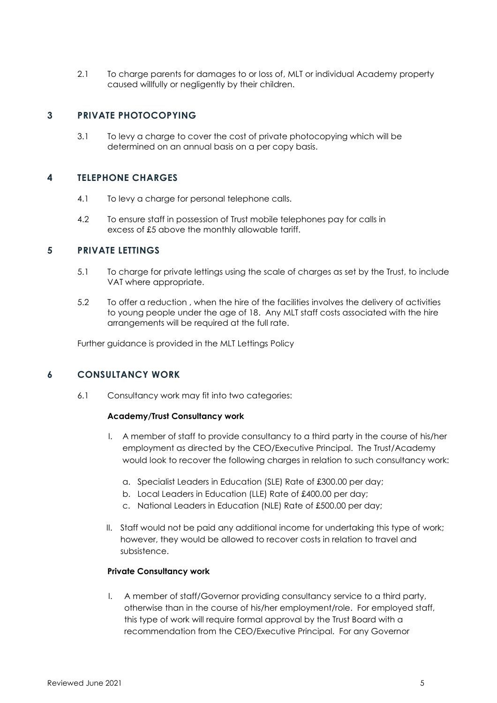2.1 To charge parents for damages to or loss of, MLT or individual Academy property caused willfully or negligently by their children.

#### **3 PRIVATE PHOTOCOPYING**

3.1 To levy a charge to cover the cost of private photocopying which will be determined on an annual basis on a per copy basis.

#### **4 TELEPHONE CHARGES**

- 4.1 To levy a charge for personal telephone calls.
- 4.2 To ensure staff in possession of Trust mobile telephones pay for calls in excess of £5 above the monthly allowable tariff.

#### **5 PRIVATE LETTINGS**

- 5.1 To charge for private lettings using the scale of charges as set by the Trust, to include VAT where appropriate.
- 5.2 To offer a reduction , when the hire of the facilities involves the delivery of activities to young people under the age of 18. Any MLT staff costs associated with the hire arrangements will be required at the full rate.

Further guidance is provided in the MLT Lettings Policy

#### **6 CONSULTANCY WORK**

6.1 Consultancy work may fit into two categories:

#### **Academy/Trust Consultancy work**

- I. A member of staff to provide consultancy to a third party in the course of his/her employment as directed by the CEO/Executive Principal. The Trust/Academy would look to recover the following charges in relation to such consultancy work:
	- a. Specialist Leaders in Education (SLE) Rate of £300.00 per day;
	- b. Local Leaders in Education (LLE) Rate of £400.00 per day;
	- c. National Leaders in Education (NLE) Rate of £500.00 per day;
- II. Staff would not be paid any additional income for undertaking this type of work; however, they would be allowed to recover costs in relation to travel and subsistence.

#### **Private Consultancy work**

I. A member of staff/Governor providing consultancy service to a third party, otherwise than in the course of his/her employment/role. For employed staff, this type of work will require formal approval by the Trust Board with a recommendation from the CEO/Executive Principal. For any Governor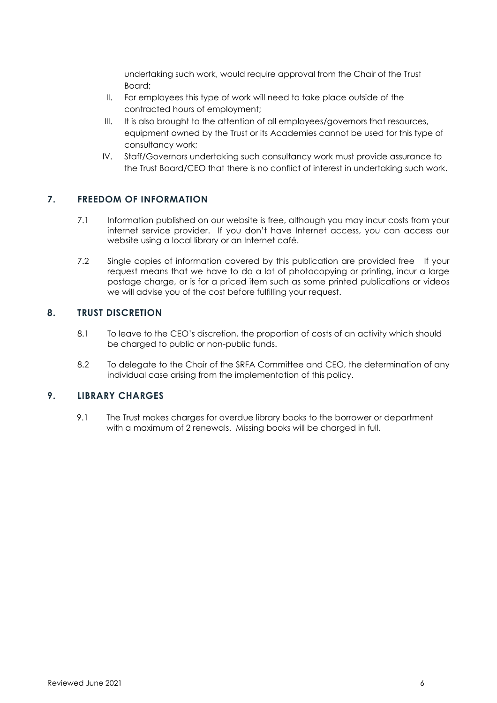undertaking such work, would require approval from the Chair of the Trust Board;

- II. For employees this type of work will need to take place outside of the contracted hours of employment;
- III. It is also brought to the attention of all employees/governors that resources, equipment owned by the Trust or its Academies cannot be used for this type of consultancy work;
- IV. Staff/Governors undertaking such consultancy work must provide assurance to the Trust Board/CEO that there is no conflict of interest in undertaking such work.

## **7. FREEDOM OF INFORMATION**

- 7.1 Information published on our website is free, although you may incur costs from your internet service provider. If you don't have Internet access, you can access our website using a local library or an Internet café.
- 7.2 Single copies of information covered by this publication are provided free If your request means that we have to do a lot of photocopying or printing, incur a large postage charge, or is for a priced item such as some printed publications or videos we will advise you of the cost before fulfilling your request.

#### **8. TRUST DISCRETION**

- 8.1 To leave to the CEO's discretion, the proportion of costs of an activity which should be charged to public or non-public funds.
- 8.2 To delegate to the Chair of the SRFA Committee and CEO, the determination of any individual case arising from the implementation of this policy.

#### **9. LIBRARY CHARGES**

9.1 The Trust makes charges for overdue library books to the borrower or department with a maximum of 2 renewals. Missing books will be charged in full.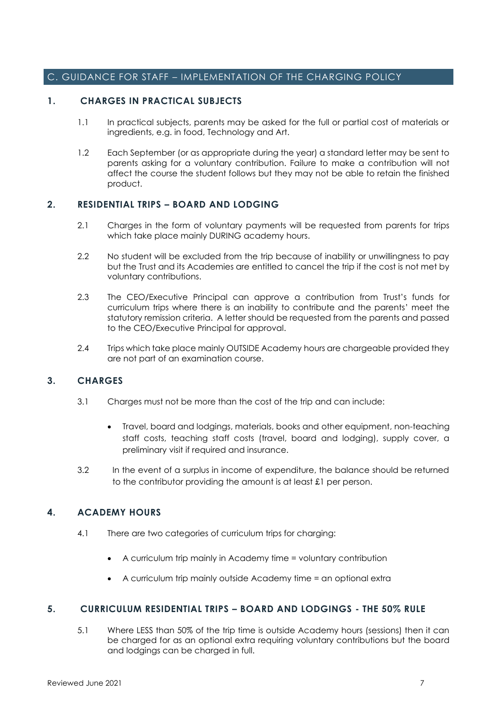#### C. GUIDANCE FOR STAFF – IMPLEMENTATION OF THE CHARGING POLICY

#### **1. CHARGES IN PRACTICAL SUBJECTS**

- 1.1 In practical subjects, parents may be asked for the full or partial cost of materials or ingredients, e.g. in food, Technology and Art.
- 1.2 Each September (or as appropriate during the year) a standard letter may be sent to parents asking for a voluntary contribution. Failure to make a contribution will not affect the course the student follows but they may not be able to retain the finished product.

#### **2. RESIDENTIAL TRIPS – BOARD AND LODGING**

- 2.1 Charges in the form of voluntary payments will be requested from parents for trips which take place mainly DURING academy hours.
- 2.2 No student will be excluded from the trip because of inability or unwillingness to pay but the Trust and its Academies are entitled to cancel the trip if the cost is not met by voluntary contributions.
- 2.3 The CEO/Executive Principal can approve a contribution from Trust's funds for curriculum trips where there is an inability to contribute and the parents' meet the statutory remission criteria. A letter should be requested from the parents and passed to the CEO/Executive Principal for approval.
- 2.4 Trips which take place mainly OUTSIDE Academy hours are chargeable provided they are not part of an examination course.

#### **3. CHARGES**

- 3.1 Charges must not be more than the cost of the trip and can include:
	- Travel, board and lodgings, materials, books and other equipment, non-teaching staff costs, teaching staff costs (travel, board and lodging), supply cover, a preliminary visit if required and insurance.
- 3.2 In the event of a surplus in income of expenditure, the balance should be returned to the contributor providing the amount is at least £1 per person.

#### **4. ACADEMY HOURS**

- 4.1 There are two categories of curriculum trips for charging:
	- A curriculum trip mainly in Academy time = voluntary contribution
	- A curriculum trip mainly outside Academy time = an optional extra

#### **5. CURRICULUM RESIDENTIAL TRIPS – BOARD AND LODGINGS - THE 50% RULE**

5.1 Where LESS than 50% of the trip time is outside Academy hours (sessions) then it can be charged for as an optional extra requiring voluntary contributions but the board and lodgings can be charged in full.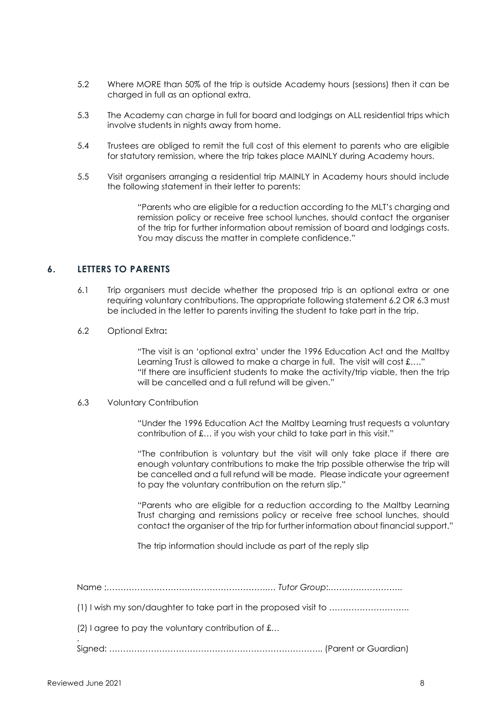- 5.2 Where MORE than 50% of the trip is outside Academy hours (sessions) then it can be charged in full as an optional extra.
- 5.3 The Academy can charge in full for board and lodgings on ALL residential trips which involve students in nights away from home.
- 5.4 Trustees are obliged to remit the full cost of this element to parents who are eligible for statutory remission, where the trip takes place MAINLY during Academy hours.
- 5.5 Visit organisers arranging a residential trip MAINLY in Academy hours should include the following statement in their letter to parents:

"Parents who are eligible for a reduction according to the MLT's charging and remission policy or receive free school lunches, should contact the organiser of the trip for further information about remission of board and lodgings costs. You may discuss the matter in complete confidence."

## **6. LETTERS TO PARENTS**

- 6.1 Trip organisers must decide whether the proposed trip is an optional extra or one requiring voluntary contributions. The appropriate following statement 6.2 OR 6.3 must be included in the letter to parents inviting the student to take part in the trip.
- 6.2 Optional Extra**:**

"The visit is an 'optional extra' under the 1996 Education Act and the Maltby Learning Trust is allowed to make a charge in full. The visit will cost £...." "If there are insufficient students to make the activity/trip viable, then the trip will be cancelled and a full refund will be given."

#### 6.3 Voluntary Contribution

"Under the 1996 Education Act the Maltby Learning trust requests a voluntary contribution of £… if you wish your child to take part in this visit."

"The contribution is voluntary but the visit will only take place if there are enough voluntary contributions to make the trip possible otherwise the trip will be cancelled and a full refund will be made. Please indicate your agreement to pay the voluntary contribution on the return slip."

"Parents who are eligible for a reduction according to the Maltby Learning Trust charging and remissions policy or receive free school lunches, should contact the organiser of the trip for further information about financial support."

The trip information should include as part of the reply slip

Name ;………………………………………………….… *Tutor Group*:.……………………..

(1) I wish my son/daughter to take part in the proposed visit to ………………………..

(2) I agree to pay the voluntary contribution of £…

. Signed: ………………………………………………………………….. (Parent or Guardian)